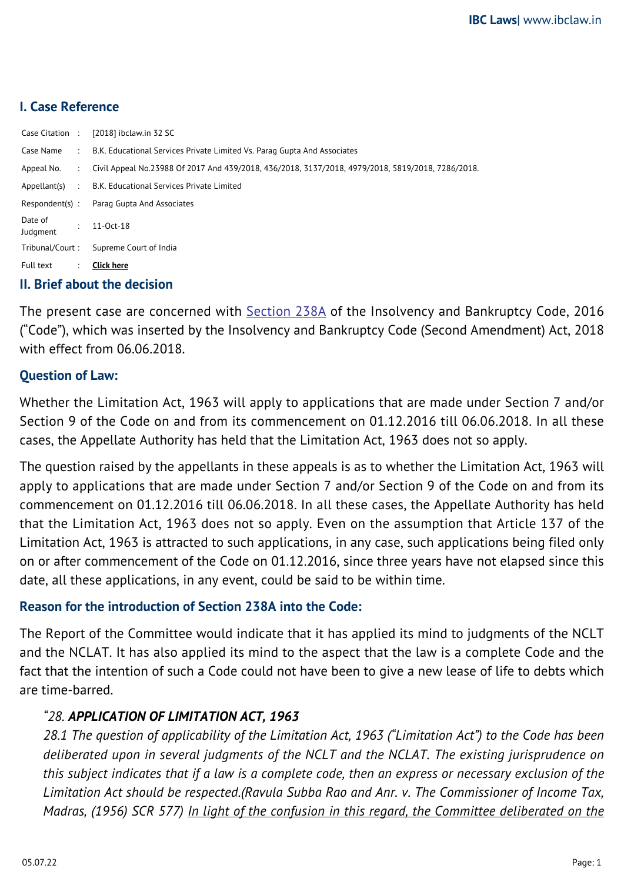## **I. Case Reference**

| Case Citation :     |                | $[2018]$ ibclaw.in 32 SC                                                                          |
|---------------------|----------------|---------------------------------------------------------------------------------------------------|
|                     |                | Case Name : B.K. Educational Services Private Limited Vs. Parag Gupta And Associates              |
| Appeal No.          | $\sim 100$     | Civil Appeal No.23988 Of 2017 And 439/2018, 436/2018, 3137/2018, 4979/2018, 5819/2018, 7286/2018. |
|                     |                | Appellant(s) : B.K. Educational Services Private Limited                                          |
| Respondent(s):      |                | Parag Gupta And Associates                                                                        |
| Date of<br>Judgment | $\bullet$      | $11 - Oct - 18$                                                                                   |
| Tribunal/Court:     |                | Supreme Court of India                                                                            |
| Full text           | $\mathbb{Z}^n$ | <b>Click here</b>                                                                                 |
| .                   |                |                                                                                                   |

### **II. Brief about the decision**

The present case are concerned with **[Section 238A](https://ibclaw.in/section-238a-limitation/)** of the Insolvency and Bankruptcy Code, 2016 ("Code"), which was inserted by the Insolvency and Bankruptcy Code (Second Amendment) Act, 2018 with effect from 06.06.2018.

### **Question of Law:**

Whether the Limitation Act, 1963 will apply to applications that are made under Section 7 and/or Section 9 of the Code on and from its commencement on 01.12.2016 till 06.06.2018. In all these cases, the Appellate Authority has held that the Limitation Act, 1963 does not so apply.

The question raised by the appellants in these appeals is as to whether the Limitation Act, 1963 will apply to applications that are made under Section 7 and/or Section 9 of the Code on and from its commencement on 01.12.2016 till 06.06.2018. In all these cases, the Appellate Authority has held that the Limitation Act, 1963 does not so apply. Even on the assumption that Article 137 of the Limitation Act, 1963 is attracted to such applications, in any case, such applications being filed only on or after commencement of the Code on 01.12.2016, since three years have not elapsed since this date, all these applications, in any event, could be said to be within time.

### **Reason for the introduction of Section 238A into the Code:**

The Report of the Committee would indicate that it has applied its mind to judgments of the NCLT and the NCLAT. It has also applied its mind to the aspect that the law is a complete Code and the fact that the intention of such a Code could not have been to give a new lease of life to debts which are time-barred.

## *"28. APPLICATION OF LIMITATION ACT, 1963*

*28.1 The question of applicability of the Limitation Act, 1963 ("Limitation Act") to the Code has been deliberated upon in several judgments of the NCLT and the NCLAT. The existing jurisprudence on this subject indicates that if a law is a complete code, then an express or necessary exclusion of the Limitation Act should be respected.(Ravula Subba Rao and Anr. v. The Commissioner of Income Tax, Madras, (1956) SCR 577) In light of the confusion in this regard, the Committee deliberated on the*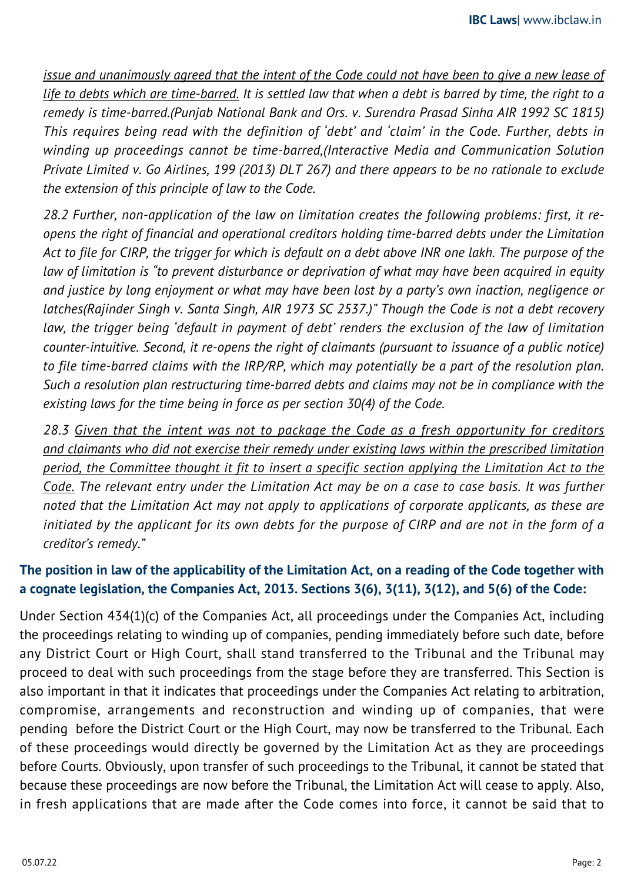*issue and unanimously agreed that the intent of the Code could not have been to give a new lease of life to debts which are time-barred. It is settled law that when a debt is barred by time, the right to a remedy is time-barred.(Punjab National Bank and Ors. v. Surendra Prasad Sinha AIR 1992 SC 1815) This requires being read with the definition of 'debt' and 'claim' in the Code. Further, debts in winding up proceedings cannot be time-barred,(Interactive Media and Communication Solution Private Limited v. Go Airlines, 199 (2013) DLT 267) and there appears to be no rationale to exclude the extension of this principle of law to the Code.*

*28.2 Further, non-application of the law on limitation creates the following problems: first, it reopens the right of financial and operational creditors holding time-barred debts under the Limitation Act to file for CIRP, the trigger for which is default on a debt above INR one lakh. The purpose of the law of limitation is "to prevent disturbance or deprivation of what may have been acquired in equity and justice by long enjoyment or what may have been lost by a party's own inaction, negligence or latches(Rajinder Singh v. Santa Singh, AIR 1973 SC 2537.)" Though the Code is not a debt recovery law, the trigger being 'default in payment of debt' renders the exclusion of the law of limitation counter-intuitive. Second, it re-opens the right of claimants (pursuant to issuance of a public notice) to file time-barred claims with the IRP/RP, which may potentially be a part of the resolution plan. Such a resolution plan restructuring time-barred debts and claims may not be in compliance with the existing laws for the time being in force as per section 30(4) of the Code.*

*28.3 Given that the intent was not to package the Code as a fresh opportunity for creditors and claimants who did not exercise their remedy under existing laws within the prescribed limitation period, the Committee thought it fit to insert a specific section applying the Limitation Act to the Code. The relevant entry under the Limitation Act may be on a case to case basis. It was further noted that the Limitation Act may not apply to applications of corporate applicants, as these are initiated by the applicant for its own debts for the purpose of CIRP and are not in the form of a creditor's remedy."* 

# **The position in law of the applicability of the Limitation Act, on a reading of the Code together with a cognate legislation, the Companies Act, 2013. Sections 3(6), 3(11), 3(12), and 5(6) of the Code:**

Under Section 434(1)(c) of the Companies Act, all proceedings under the Companies Act, including the proceedings relating to winding up of companies, pending immediately before such date, before any District Court or High Court, shall stand transferred to the Tribunal and the Tribunal may proceed to deal with such proceedings from the stage before they are transferred. This Section is also important in that it indicates that proceedings under the Companies Act relating to arbitration, compromise, arrangements and reconstruction and winding up of companies, that were pending before the District Court or the High Court, may now be transferred to the Tribunal. Each of these proceedings would directly be governed by the Limitation Act as they are proceedings before Courts. Obviously, upon transfer of such proceedings to the Tribunal, it cannot be stated that because these proceedings are now before the Tribunal, the Limitation Act will cease to apply. Also, in fresh applications that are made after the Code comes into force, it cannot be said that to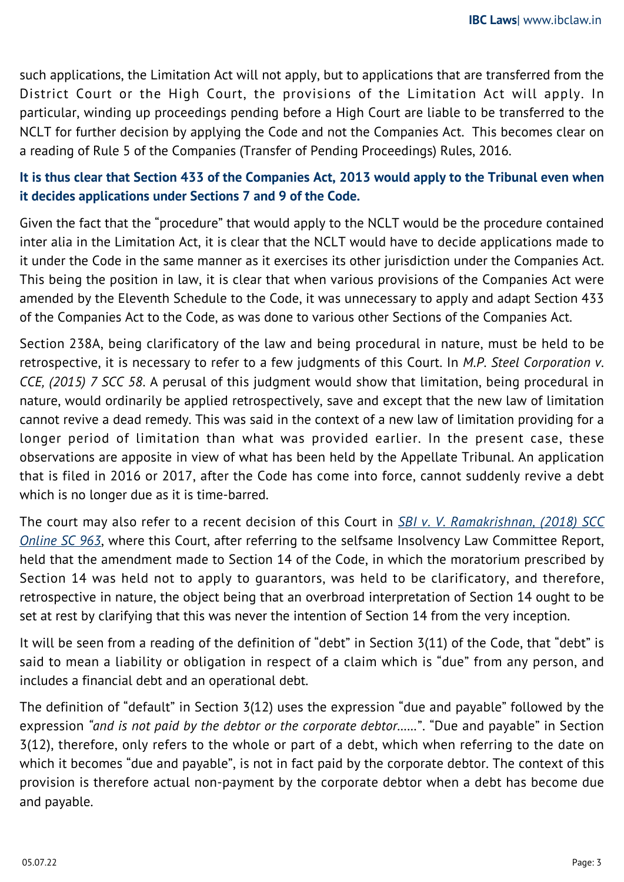such applications, the Limitation Act will not apply, but to applications that are transferred from the District Court or the High Court, the provisions of the Limitation Act will apply. In particular, winding up proceedings pending before a High Court are liable to be transferred to the NCLT for further decision by applying the Code and not the Companies Act. This becomes clear on a reading of Rule 5 of the Companies (Transfer of Pending Proceedings) Rules, 2016.

# **It is thus clear that Section 433 of the Companies Act, 2013 would apply to the Tribunal even when it decides applications under Sections 7 and 9 of the Code.**

Given the fact that the "procedure" that would apply to the NCLT would be the procedure contained inter alia in the Limitation Act, it is clear that the NCLT would have to decide applications made to it under the Code in the same manner as it exercises its other jurisdiction under the Companies Act. This being the position in law, it is clear that when various provisions of the Companies Act were amended by the Eleventh Schedule to the Code, it was unnecessary to apply and adapt Section 433 of the Companies Act to the Code, as was done to various other Sections of the Companies Act.

Section 238A, being clarificatory of the law and being procedural in nature, must be held to be retrospective, it is necessary to refer to a few judgments of this Court. In *M.P. Steel Corporation v. CCE, (2015) 7 SCC 58*. A perusal of this judgment would show that limitation, being procedural in nature, would ordinarily be applied retrospectively, save and except that the new law of limitation cannot revive a dead remedy. This was said in the context of a new law of limitation providing for a longer period of limitation than what was provided earlier. In the present case, these observations are apposite in view of what has been held by the Appellate Tribunal. An application that is filed in 2016 or 2017, after the Code has come into force, cannot suddenly revive a debt which is no longer due as it is time-barred.

The court may also refer to a recent decision of this Court in *[SBI v. V. Ramakrishnan, \(2018\) SCC](https://ibclaw.in/state-bank-of-india-vs-v-ramakrishnan-anr-supreme-court/) [Online SC 963](https://ibclaw.in/state-bank-of-india-vs-v-ramakrishnan-anr-supreme-court/)*, where this Court, after referring to the selfsame Insolvency Law Committee Report, held that the amendment made to Section 14 of the Code, in which the moratorium prescribed by Section 14 was held not to apply to guarantors, was held to be clarificatory, and therefore, retrospective in nature, the object being that an overbroad interpretation of Section 14 ought to be set at rest by clarifying that this was never the intention of Section 14 from the very inception.

It will be seen from a reading of the definition of "debt" in Section 3(11) of the Code, that "debt" is said to mean a liability or obligation in respect of a claim which is "due" from any person, and includes a financial debt and an operational debt.

The definition of "default" in Section 3(12) uses the expression "due and payable" followed by the expression *"and is not paid by the debtor or the corporate debtor……*". "Due and payable" in Section 3(12), therefore, only refers to the whole or part of a debt, which when referring to the date on which it becomes "due and payable", is not in fact paid by the corporate debtor. The context of this provision is therefore actual non-payment by the corporate debtor when a debt has become due and payable.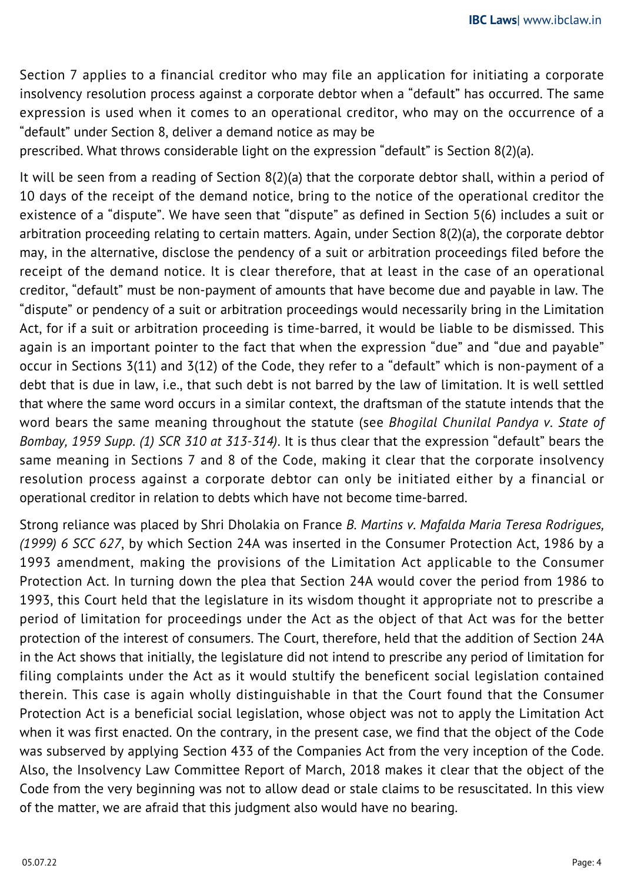Section 7 applies to a financial creditor who may file an application for initiating a corporate insolvency resolution process against a corporate debtor when a "default" has occurred. The same expression is used when it comes to an operational creditor, who may on the occurrence of a "default" under Section 8, deliver a demand notice as may be

prescribed. What throws considerable light on the expression "default" is Section 8(2)(a).

It will be seen from a reading of Section 8(2)(a) that the corporate debtor shall, within a period of 10 days of the receipt of the demand notice, bring to the notice of the operational creditor the existence of a "dispute". We have seen that "dispute" as defined in Section 5(6) includes a suit or arbitration proceeding relating to certain matters. Again, under Section 8(2)(a), the corporate debtor may, in the alternative, disclose the pendency of a suit or arbitration proceedings filed before the receipt of the demand notice. It is clear therefore, that at least in the case of an operational creditor, "default" must be non-payment of amounts that have become due and payable in law. The "dispute" or pendency of a suit or arbitration proceedings would necessarily bring in the Limitation Act, for if a suit or arbitration proceeding is time-barred, it would be liable to be dismissed. This again is an important pointer to the fact that when the expression "due" and "due and payable" occur in Sections 3(11) and 3(12) of the Code, they refer to a "default" which is non-payment of a debt that is due in law, i.e., that such debt is not barred by the law of limitation. It is well settled that where the same word occurs in a similar context, the draftsman of the statute intends that the word bears the same meaning throughout the statute (see *Bhogilal Chunilal Pandya v. State of Bombay, 1959 Supp. (1) SCR 310 at 313-314)*. It is thus clear that the expression "default" bears the same meaning in Sections 7 and 8 of the Code, making it clear that the corporate insolvency resolution process against a corporate debtor can only be initiated either by a financial or operational creditor in relation to debts which have not become time-barred.

Strong reliance was placed by Shri Dholakia on France *B. Martins v. Mafalda Maria Teresa Rodrigues, (1999) 6 SCC 627*, by which Section 24A was inserted in the Consumer Protection Act, 1986 by a 1993 amendment, making the provisions of the Limitation Act applicable to the Consumer Protection Act. In turning down the plea that Section 24A would cover the period from 1986 to 1993, this Court held that the legislature in its wisdom thought it appropriate not to prescribe a period of limitation for proceedings under the Act as the object of that Act was for the better protection of the interest of consumers. The Court, therefore, held that the addition of Section 24A in the Act shows that initially, the legislature did not intend to prescribe any period of limitation for filing complaints under the Act as it would stultify the beneficent social legislation contained therein. This case is again wholly distinguishable in that the Court found that the Consumer Protection Act is a beneficial social legislation, whose object was not to apply the Limitation Act when it was first enacted. On the contrary, in the present case, we find that the object of the Code was subserved by applying Section 433 of the Companies Act from the very inception of the Code. Also, the Insolvency Law Committee Report of March, 2018 makes it clear that the object of the Code from the very beginning was not to allow dead or stale claims to be resuscitated. In this view of the matter, we are afraid that this judgment also would have no bearing.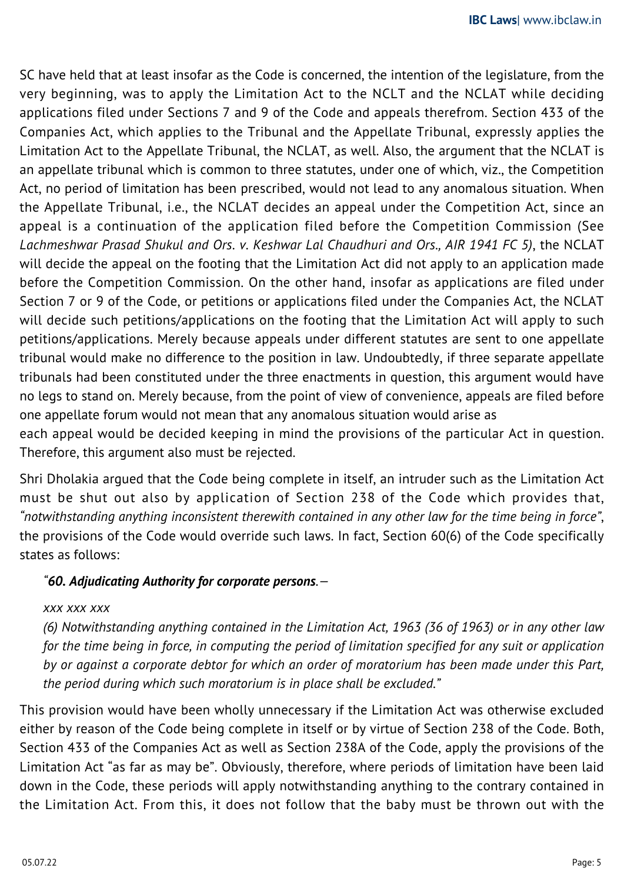SC have held that at least insofar as the Code is concerned, the intention of the legislature, from the very beginning, was to apply the Limitation Act to the NCLT and the NCLAT while deciding applications filed under Sections 7 and 9 of the Code and appeals therefrom. Section 433 of the Companies Act, which applies to the Tribunal and the Appellate Tribunal, expressly applies the Limitation Act to the Appellate Tribunal, the NCLAT, as well. Also, the argument that the NCLAT is an appellate tribunal which is common to three statutes, under one of which, viz., the Competition Act, no period of limitation has been prescribed, would not lead to any anomalous situation. When the Appellate Tribunal, i.e., the NCLAT decides an appeal under the Competition Act, since an appeal is a continuation of the application filed before the Competition Commission (See *Lachmeshwar Prasad Shukul and Ors. v. Keshwar Lal Chaudhuri and Ors., AIR 1941 FC 5)*, the NCLAT will decide the appeal on the footing that the Limitation Act did not apply to an application made before the Competition Commission. On the other hand, insofar as applications are filed under Section 7 or 9 of the Code, or petitions or applications filed under the Companies Act, the NCLAT will decide such petitions/applications on the footing that the Limitation Act will apply to such petitions/applications. Merely because appeals under different statutes are sent to one appellate tribunal would make no difference to the position in law. Undoubtedly, if three separate appellate tribunals had been constituted under the three enactments in question, this argument would have no legs to stand on. Merely because, from the point of view of convenience, appeals are filed before one appellate forum would not mean that any anomalous situation would arise as each appeal would be decided keeping in mind the provisions of the particular Act in question. Therefore, this argument also must be rejected.

Shri Dholakia argued that the Code being complete in itself, an intruder such as the Limitation Act must be shut out also by application of Section 238 of the Code which provides that, *"notwithstanding anything inconsistent therewith contained in any other law for the time being in force"*, the provisions of the Code would override such laws. In fact, Section 60(6) of the Code specifically states as follows:

## *"60. Adjudicating Authority for corporate persons.—*

### *xxx xxx xxx*

*(6) Notwithstanding anything contained in the Limitation Act, 1963 (36 of 1963) or in any other law for the time being in force, in computing the period of limitation specified for any suit or application by or against a corporate debtor for which an order of moratorium has been made under this Part, the period during which such moratorium is in place shall be excluded."*

This provision would have been wholly unnecessary if the Limitation Act was otherwise excluded either by reason of the Code being complete in itself or by virtue of Section 238 of the Code. Both, Section 433 of the Companies Act as well as Section 238A of the Code, apply the provisions of the Limitation Act "as far as may be". Obviously, therefore, where periods of limitation have been laid down in the Code, these periods will apply notwithstanding anything to the contrary contained in the Limitation Act. From this, it does not follow that the baby must be thrown out with the